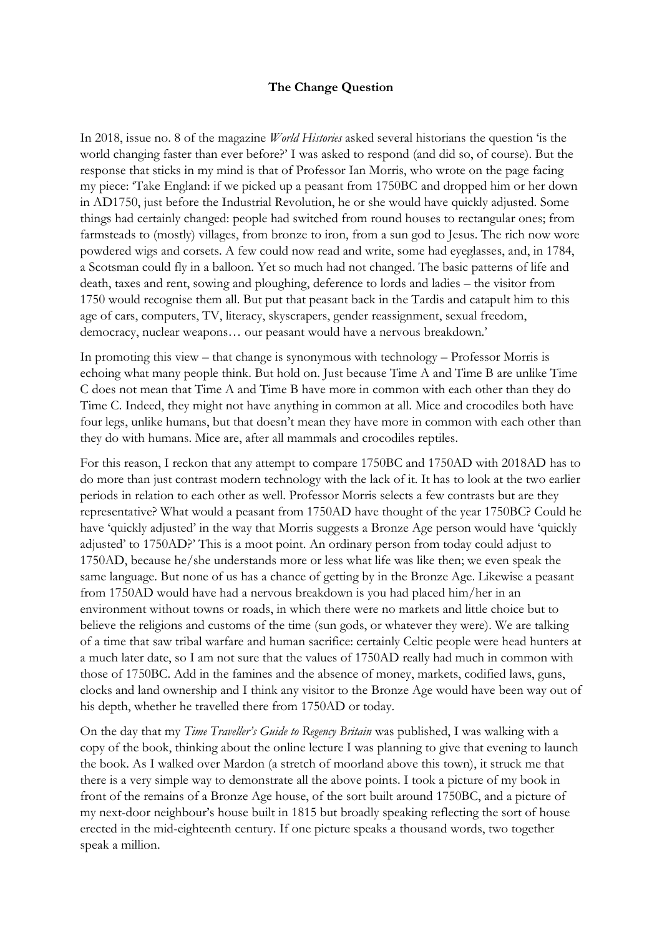## **The Change Question**

In 2018, issue no. 8 of the magazine *World Histories* asked several historians the question 'is the world changing faster than ever before?' I was asked to respond (and did so, of course). But the response that sticks in my mind is that of Professor Ian Morris, who wrote on the page facing my piece: 'Take England: if we picked up a peasant from 1750BC and dropped him or her down in AD1750, just before the Industrial Revolution, he or she would have quickly adjusted. Some things had certainly changed: people had switched from round houses to rectangular ones; from farmsteads to (mostly) villages, from bronze to iron, from a sun god to Jesus. The rich now wore powdered wigs and corsets. A few could now read and write, some had eyeglasses, and, in 1784, a Scotsman could fly in a balloon. Yet so much had not changed. The basic patterns of life and death, taxes and rent, sowing and ploughing, deference to lords and ladies – the visitor from 1750 would recognise them all. But put that peasant back in the Tardis and catapult him to this age of cars, computers, TV, literacy, skyscrapers, gender reassignment, sexual freedom, democracy, nuclear weapons… our peasant would have a nervous breakdown.'

In promoting this view – that change is synonymous with technology – Professor Morris is echoing what many people think. But hold on. Just because Time A and Time B are unlike Time C does not mean that Time A and Time B have more in common with each other than they do Time C. Indeed, they might not have anything in common at all. Mice and crocodiles both have four legs, unlike humans, but that doesn't mean they have more in common with each other than they do with humans. Mice are, after all mammals and crocodiles reptiles.

For this reason, I reckon that any attempt to compare 1750BC and 1750AD with 2018AD has to do more than just contrast modern technology with the lack of it. It has to look at the two earlier periods in relation to each other as well. Professor Morris selects a few contrasts but are they representative? What would a peasant from 1750AD have thought of the year 1750BC? Could he have 'quickly adjusted' in the way that Morris suggests a Bronze Age person would have 'quickly adjusted' to 1750AD?' This is a moot point. An ordinary person from today could adjust to 1750AD, because he/she understands more or less what life was like then; we even speak the same language. But none of us has a chance of getting by in the Bronze Age. Likewise a peasant from 1750AD would have had a nervous breakdown is you had placed him/her in an environment without towns or roads, in which there were no markets and little choice but to believe the religions and customs of the time (sun gods, or whatever they were). We are talking of a time that saw tribal warfare and human sacrifice: certainly Celtic people were head hunters at a much later date, so I am not sure that the values of 1750AD really had much in common with those of 1750BC. Add in the famines and the absence of money, markets, codified laws, guns, clocks and land ownership and I think any visitor to the Bronze Age would have been way out of his depth, whether he travelled there from 1750AD or today.

On the day that my *Time Traveller's Guide to Regency Britain* was published, I was walking with a copy of the book, thinking about the online lecture I was planning to give that evening to launch the book. As I walked over Mardon (a stretch of moorland above this town), it struck me that there is a very simple way to demonstrate all the above points. I took a picture of my book in front of the remains of a Bronze Age house, of the sort built around 1750BC, and a picture of my next-door neighbour's house built in 1815 but broadly speaking reflecting the sort of house erected in the mid-eighteenth century. If one picture speaks a thousand words, two together speak a million.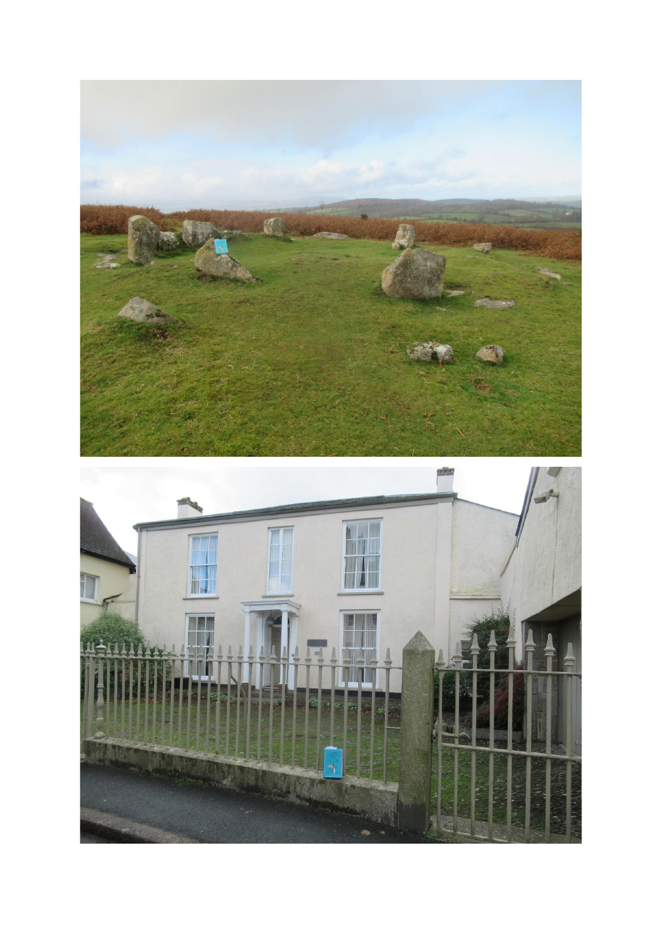